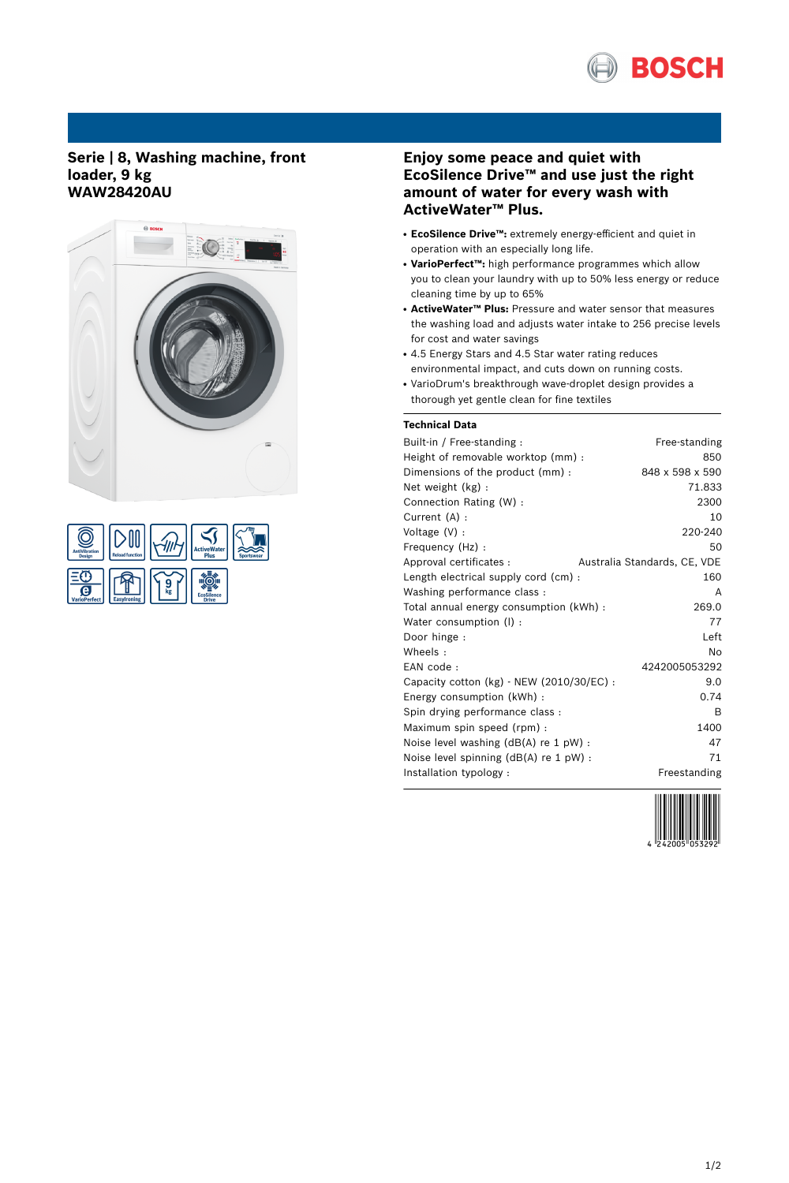

# **Serie | 8, Washing machine, front loader, 9 kg WAW28420AU**



| <b>AntiVibration</b><br><b>Design</b> | <b>Reload function</b> |    | <b>ActiveWater</b><br>Plus        | <b>Sportswear</b> |
|---------------------------------------|------------------------|----|-----------------------------------|-------------------|
| e.<br><b>VarioPerfect</b>             | <b>Easylroning</b>     | kg | <b>EcoSilence</b><br><b>Drive</b> |                   |

# **Enjoy some peace and quiet with EcoSilence Drive™ and use just the right amount of water for every wash with ActiveWater™ Plus.**

- **EcoSilence Drive™:** extremely energy-efficient and quiet in operation with an especially long life.
- VarioPerfect<sup>™</sup>: high performance programmes which allow you to clean your laundry with up to 50% less energy or reduce cleaning time by up to 65%
- **ActiveWater™ Plus:** Pressure and water sensor that measures the washing load and adjusts water intake to 256 precise levels for cost and water savings
- 4.5 Energy Stars and 4.5 Star water rating reduces environmental impact, and cuts down on running costs.
- VarioDrum's breakthrough wave-droplet design provides a thorough yet gentle clean for fine textiles

# **Technical Data**

| Built-in / Free-standing:                     | Free-standing                |
|-----------------------------------------------|------------------------------|
| Height of removable worktop (mm) :            | 850                          |
| Dimensions of the product (mm):               | 848 x 598 x 590              |
| Net weight (kg):                              | 71.833                       |
| Connection Rating (W) :                       | 2300                         |
| Current (A) :                                 | 10                           |
| Voltage $(V)$ :                               | 220-240                      |
| Frequency (Hz) :                              | 50                           |
| Approval certificates :                       | Australia Standards, CE, VDE |
| Length electrical supply cord (cm) :          | 160                          |
| Washing performance class:                    | A                            |
| Total annual energy consumption (kWh) :       | 269.0                        |
| Water consumption (I):                        | 77                           |
| Door hinge :                                  | Left                         |
| Wheels:                                       | Nο                           |
| EAN code:                                     | 4242005053292                |
| Capacity cotton $(kg)$ - NEW $(2010/30/EC)$ : | 9.0                          |
| Energy consumption (kWh) :                    | 0.74                         |
| Spin drying performance class:                | В                            |
| Maximum spin speed (rpm):                     | 1400                         |
| Noise level washing $(dB(A)$ re 1 pW) :       | 47                           |
| Noise level spinning $(dB(A))$ re 1 pW) :     | 71                           |
| Installation typology :                       | Freestanding                 |
|                                               |                              |